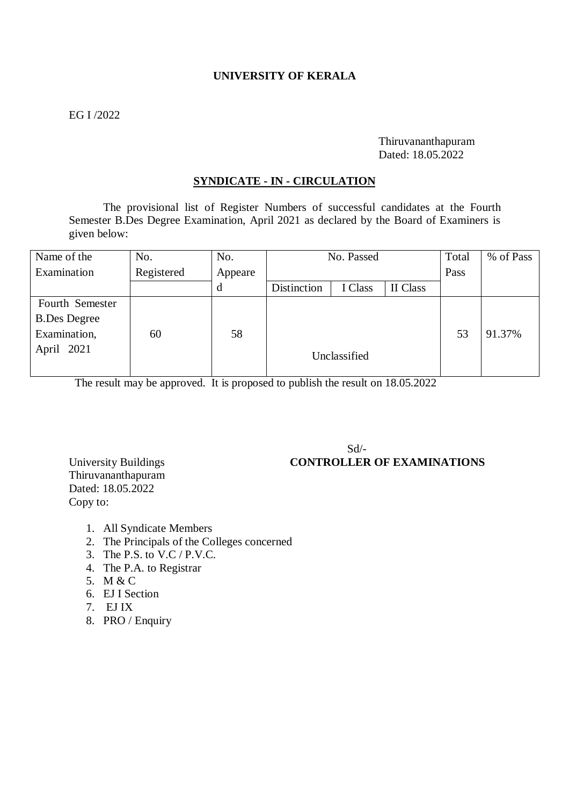# **UNIVERSITY OF KERALA**

## EG I /2022

### Thiruvananthapuram Dated: 18.05.2022

#### **SYNDICATE - IN - CIRCULATION**

The provisional list of Register Numbers of successful candidates at the Fourth Semester B.Des Degree Examination, April 2021 as declared by the Board of Examiners is given below:

| Name of the         | No.        | No.     | No. Passed  |              |          | Total | % of Pass |
|---------------------|------------|---------|-------------|--------------|----------|-------|-----------|
| Examination         | Registered | Appeare |             |              |          | Pass  |           |
|                     |            | d       | Distinction | I Class      | II Class |       |           |
| Fourth Semester     |            |         |             |              |          |       |           |
| <b>B.Des Degree</b> |            |         |             |              |          |       |           |
| Examination,        | 60         | 58      |             |              |          | 53    | 91.37%    |
| April 2021          |            |         |             | Unclassified |          |       |           |
|                     |            |         |             |              |          |       |           |

The result may be approved. It is proposed to publish the result on 18.05.2022

 $Sd$ <sup>-</sup>

# University Buildings **CONTROLLER OF EXAMINATIONS**

Thiruvananthapuram Dated: 18.05.2022 Copy to:

- 1. All Syndicate Members
- 2. The Principals of the Colleges concerned
- 3. The P.S. to V.C / P.V.C.
- 4. The P.A. to Registrar
- 5. M & C
- 6. EJ I Section
- 7. EJ IX
- 8. PRO / Enquiry